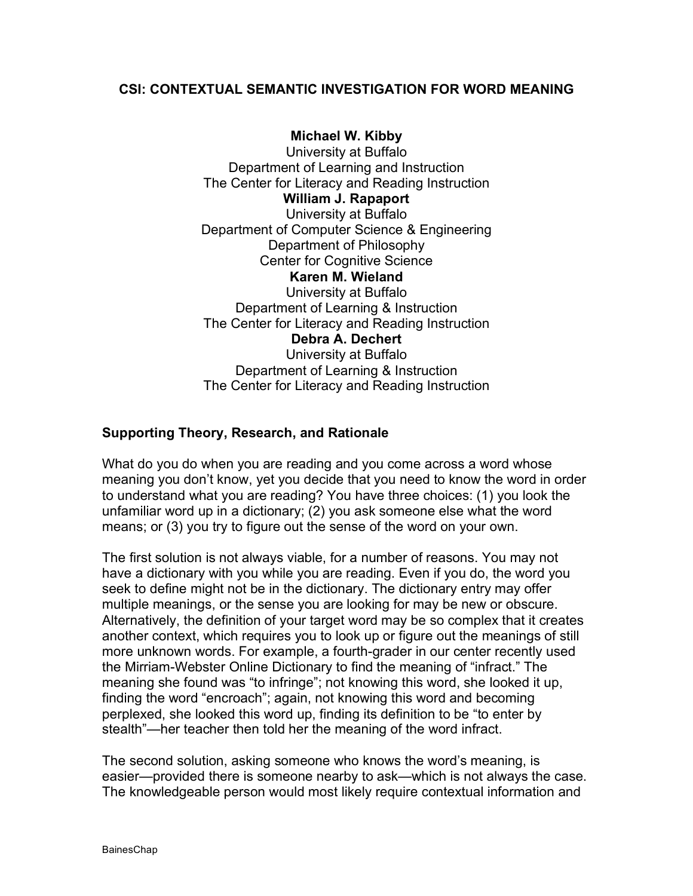### **CSI: CONTEXTUAL SEMANTIC INVESTIGATION FOR WORD MEANING**

**Michael W. Kibby** University at Buffalo Department of Learning and Instruction The Center for Literacy and Reading Instruction **William J. Rapaport** University at Buffalo Department of Computer Science & Engineering Department of Philosophy Center for Cognitive Science **Karen M. Wieland** University at Buffalo Department of Learning & Instruction The Center for Literacy and Reading Instruction **Debra A. Dechert** University at Buffalo Department of Learning & Instruction The Center for Literacy and Reading Instruction

### **Supporting Theory, Research, and Rationale**

What do you do when you are reading and you come across a word whose meaning you don't know, yet you decide that you need to know the word in order to understand what you are reading? You have three choices: (1) you look the unfamiliar word up in a dictionary; (2) you ask someone else what the word means; or (3) you try to figure out the sense of the word on your own.

The first solution is not always viable, for a number of reasons. You may not have a dictionary with you while you are reading. Even if you do, the word you seek to define might not be in the dictionary. The dictionary entry may offer multiple meanings, or the sense you are looking for may be new or obscure. Alternatively, the definition of your target word may be so complex that it creates another context, which requires you to look up or figure out the meanings of still more unknown words. For example, a fourth-grader in our center recently used the Mirriam-Webster Online Dictionary to find the meaning of "infract." The meaning she found was "to infringe"; not knowing this word, she looked it up, finding the word "encroach"; again, not knowing this word and becoming perplexed, she looked this word up, finding its definition to be "to enter by stealth"—her teacher then told her the meaning of the word infract.

The second solution, asking someone who knows the word's meaning, is easier—provided there is someone nearby to ask—which is not always the case. The knowledgeable person would most likely require contextual information and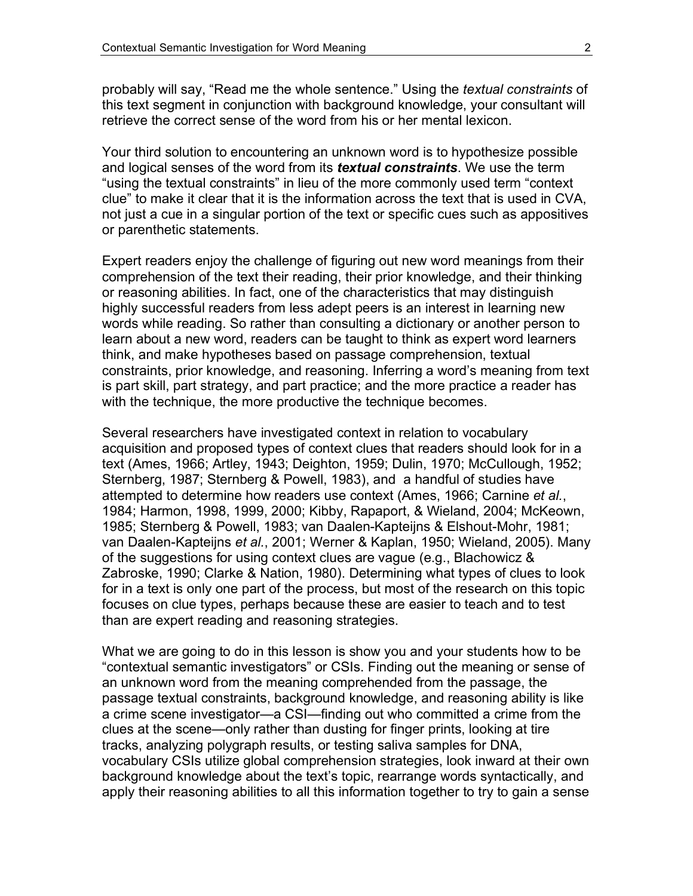probably will say, "Read me the whole sentence." Using the *textual constraints* of this text segment in conjunction with background knowledge, your consultant will retrieve the correct sense of the word from his or her mental lexicon.

Your third solution to encountering an unknown word is to hypothesize possible and logical senses of the word from its *textual constraints*. We use the term "using the textual constraints" in lieu of the more commonly used term "context clue" to make it clear that it is the information across the text that is used in CVA, not just a cue in a singular portion of the text or specific cues such as appositives or parenthetic statements.

Expert readers enjoy the challenge of figuring out new word meanings from their comprehension of the text their reading, their prior knowledge, and their thinking or reasoning abilities. In fact, one of the characteristics that may distinguish highly successful readers from less adept peers is an interest in learning new words while reading. So rather than consulting a dictionary or another person to learn about a new word, readers can be taught to think as expert word learners think, and make hypotheses based on passage comprehension, textual constraints, prior knowledge, and reasoning. Inferring a word's meaning from text is part skill, part strategy, and part practice; and the more practice a reader has with the technique, the more productive the technique becomes.

Several researchers have investigated context in relation to vocabulary acquisition and proposed types of context clues that readers should look for in a text (Ames, 1966; Artley, 1943; Deighton, 1959; Dulin, 1970; McCullough, 1952; Sternberg, 1987; Sternberg & Powell, 1983), and a handful of studies have attempted to determine how readers use context (Ames, 1966; Carnine *et al.*, 1984; Harmon, 1998, 1999, 2000; Kibby, Rapaport, & Wieland, 2004; McKeown, 1985; Sternberg & Powell, 1983; van Daalen-Kapteijns & Elshout-Mohr, 1981; van Daalen-Kapteijns *et al.*, 2001; Werner & Kaplan, 1950; Wieland, 2005). Many of the suggestions for using context clues are vague (e.g., Blachowicz & Zabroske, 1990; Clarke & Nation, 1980). Determining what types of clues to look for in a text is only one part of the process, but most of the research on this topic focuses on clue types, perhaps because these are easier to teach and to test than are expert reading and reasoning strategies.

What we are going to do in this lesson is show you and your students how to be "contextual semantic investigators" or CSIs. Finding out the meaning or sense of an unknown word from the meaning comprehended from the passage, the passage textual constraints, background knowledge, and reasoning ability is like a crime scene investigator—a CSI—finding out who committed a crime from the clues at the scene—only rather than dusting for finger prints, looking at tire tracks, analyzing polygraph results, or testing saliva samples for DNA, vocabulary CSIs utilize global comprehension strategies, look inward at their own background knowledge about the text's topic, rearrange words syntactically, and apply their reasoning abilities to all this information together to try to gain a sense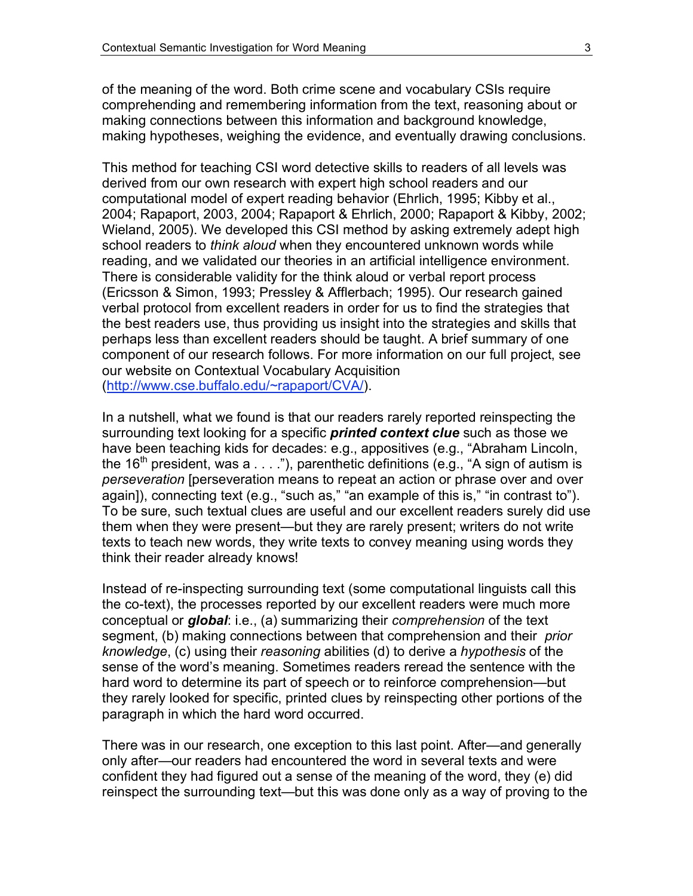of the meaning of the word. Both crime scene and vocabulary CSIs require comprehending and remembering information from the text, reasoning about or making connections between this information and background knowledge, making hypotheses, weighing the evidence, and eventually drawing conclusions.

This method for teaching CSI word detective skills to readers of all levels was derived from our own research with expert high school readers and our computational model of expert reading behavior (Ehrlich, 1995; Kibby et al., 2004; Rapaport, 2003, 2004; Rapaport & Ehrlich, 2000; Rapaport & Kibby, 2002; Wieland, 2005). We developed this CSI method by asking extremely adept high school readers to *think aloud* when they encountered unknown words while reading, and we validated our theories in an artificial intelligence environment. There is considerable validity for the think aloud or verbal report process (Ericsson & Simon, 1993; Pressley & Afflerbach; 1995). Our research gained verbal protocol from excellent readers in order for us to find the strategies that the best readers use, thus providing us insight into the strategies and skills that perhaps less than excellent readers should be taught. A brief summary of one component of our research follows. For more information on our full project, see our website on Contextual Vocabulary Acquisition (http://www.cse.buffalo.edu/~rapaport/CVA/).

In a nutshell, what we found is that our readers rarely reported reinspecting the surrounding text looking for a specific *printed context clue* such as those we have been teaching kids for decades: e.g., appositives (e.g., "Abraham Lincoln, the 16<sup>th</sup> president, was a  $\dots$ "), parenthetic definitions (e.g., "A sign of autism is *perseveration* [perseveration means to repeat an action or phrase over and over again]), connecting text (e.g., "such as," "an example of this is," "in contrast to"). To be sure, such textual clues are useful and our excellent readers surely did use them when they were present—but they are rarely present; writers do not write texts to teach new words, they write texts to convey meaning using words they think their reader already knows!

Instead of re-inspecting surrounding text (some computational linguists call this the co-text), the processes reported by our excellent readers were much more conceptual or *global*: i.e., (a) summarizing their *comprehension* of the text segment, (b) making connections between that comprehension and their *prior knowledge*, (c) using their *reasoning* abilities (d) to derive a *hypothesis* of the sense of the word's meaning. Sometimes readers reread the sentence with the hard word to determine its part of speech or to reinforce comprehension—but they rarely looked for specific, printed clues by reinspecting other portions of the paragraph in which the hard word occurred.

There was in our research, one exception to this last point. After—and generally only after—our readers had encountered the word in several texts and were confident they had figured out a sense of the meaning of the word, they (e) did reinspect the surrounding text—but this was done only as a way of proving to the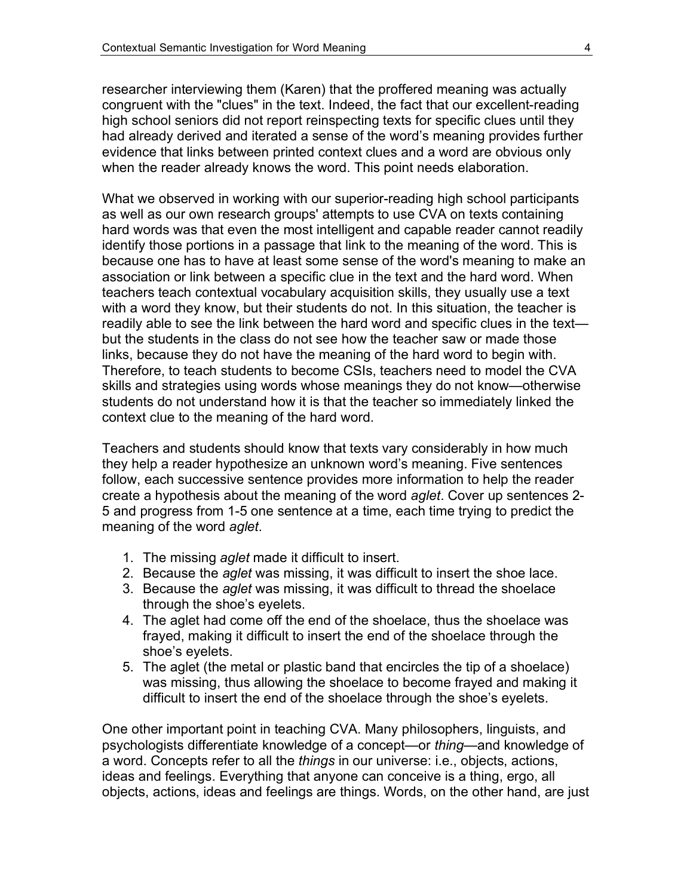researcher interviewing them (Karen) that the proffered meaning was actually congruent with the "clues" in the text. Indeed, the fact that our excellent-reading high school seniors did not report reinspecting texts for specific clues until they had already derived and iterated a sense of the word's meaning provides further evidence that links between printed context clues and a word are obvious only when the reader already knows the word. This point needs elaboration.

What we observed in working with our superior-reading high school participants as well as our own research groups' attempts to use CVA on texts containing hard words was that even the most intelligent and capable reader cannot readily identify those portions in a passage that link to the meaning of the word. This is because one has to have at least some sense of the word's meaning to make an association or link between a specific clue in the text and the hard word. When teachers teach contextual vocabulary acquisition skills, they usually use a text with a word they know, but their students do not. In this situation, the teacher is readily able to see the link between the hard word and specific clues in the text but the students in the class do not see how the teacher saw or made those links, because they do not have the meaning of the hard word to begin with. Therefore, to teach students to become CSIs, teachers need to model the CVA skills and strategies using words whose meanings they do not know—otherwise students do not understand how it is that the teacher so immediately linked the context clue to the meaning of the hard word.

Teachers and students should know that texts vary considerably in how much they help a reader hypothesize an unknown word's meaning. Five sentences follow, each successive sentence provides more information to help the reader create a hypothesis about the meaning of the word *aglet*. Cover up sentences 2- 5 and progress from 1-5 one sentence at a time, each time trying to predict the meaning of the word *aglet*.

- 1. The missing *aglet* made it difficult to insert.
- 2. Because the *aglet* was missing, it was difficult to insert the shoe lace.
- 3. Because the *aglet* was missing, it was difficult to thread the shoelace through the shoe's eyelets.
- 4. The aglet had come off the end of the shoelace, thus the shoelace was frayed, making it difficult to insert the end of the shoelace through the shoe's eyelets.
- 5. The aglet (the metal or plastic band that encircles the tip of a shoelace) was missing, thus allowing the shoelace to become frayed and making it difficult to insert the end of the shoelace through the shoe's eyelets.

One other important point in teaching CVA. Many philosophers, linguists, and psychologists differentiate knowledge of a concept—or *thing*—and knowledge of a word. Concepts refer to all the *things* in our universe: i.e., objects, actions, ideas and feelings. Everything that anyone can conceive is a thing, ergo, all objects, actions, ideas and feelings are things. Words, on the other hand, are just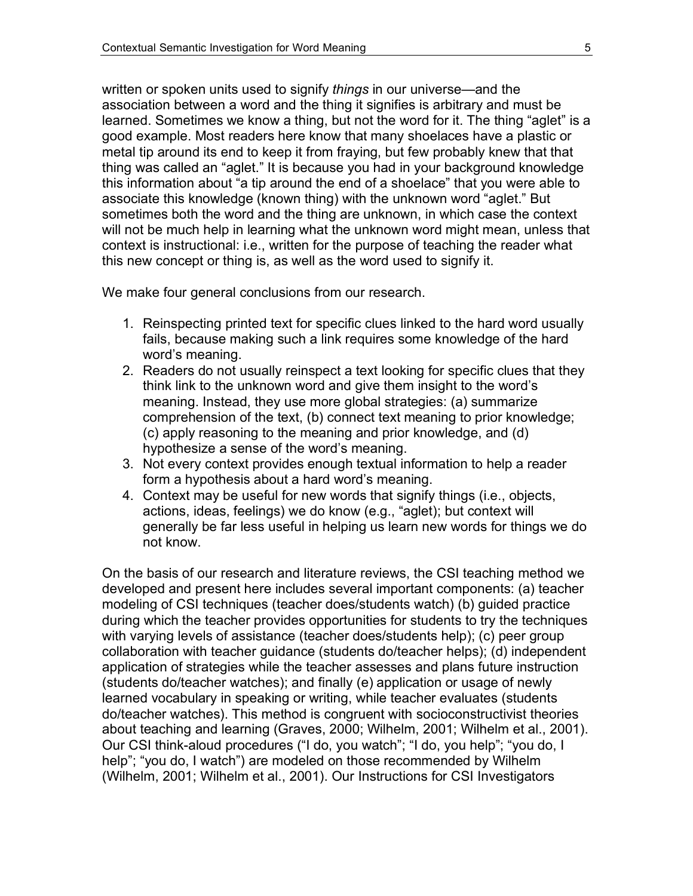written or spoken units used to signify *things* in our universe—and the association between a word and the thing it signifies is arbitrary and must be learned. Sometimes we know a thing, but not the word for it. The thing "aglet" is a good example. Most readers here know that many shoelaces have a plastic or metal tip around its end to keep it from fraying, but few probably knew that that thing was called an "aglet." It is because you had in your background knowledge this information about "a tip around the end of a shoelace" that you were able to associate this knowledge (known thing) with the unknown word "aglet." But sometimes both the word and the thing are unknown, in which case the context will not be much help in learning what the unknown word might mean, unless that context is instructional: i.e., written for the purpose of teaching the reader what this new concept or thing is, as well as the word used to signify it.

We make four general conclusions from our research.

- 1. Reinspecting printed text for specific clues linked to the hard word usually fails, because making such a link requires some knowledge of the hard word's meaning.
- 2. Readers do not usually reinspect a text looking for specific clues that they think link to the unknown word and give them insight to the word's meaning. Instead, they use more global strategies: (a) summarize comprehension of the text, (b) connect text meaning to prior knowledge; (c) apply reasoning to the meaning and prior knowledge, and (d) hypothesize a sense of the word's meaning.
- 3. Not every context provides enough textual information to help a reader form a hypothesis about a hard word's meaning.
- 4. Context may be useful for new words that signify things (i.e., objects, actions, ideas, feelings) we do know (e.g., "aglet); but context will generally be far less useful in helping us learn new words for things we do not know.

On the basis of our research and literature reviews, the CSI teaching method we developed and present here includes several important components: (a) teacher modeling of CSI techniques (teacher does/students watch) (b) guided practice during which the teacher provides opportunities for students to try the techniques with varying levels of assistance (teacher does/students help); (c) peer group collaboration with teacher guidance (students do/teacher helps); (d) independent application of strategies while the teacher assesses and plans future instruction (students do/teacher watches); and finally (e) application or usage of newly learned vocabulary in speaking or writing, while teacher evaluates (students do/teacher watches). This method is congruent with socioconstructivist theories about teaching and learning (Graves, 2000; Wilhelm, 2001; Wilhelm et al., 2001). Our CSI think-aloud procedures ("I do, you watch"; "I do, you help"; "you do, I help"; "you do, I watch") are modeled on those recommended by Wilhelm (Wilhelm, 2001; Wilhelm et al., 2001). Our Instructions for CSI Investigators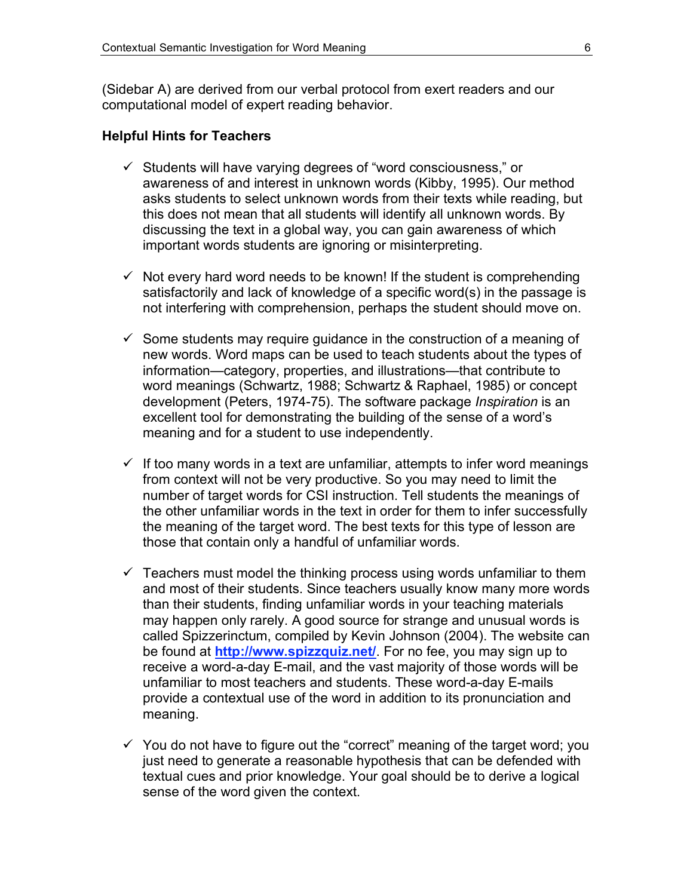(Sidebar A) are derived from our verbal protocol from exert readers and our computational model of expert reading behavior.

#### **Helpful Hints for Teachers**

- $\checkmark$  Students will have varying degrees of "word consciousness," or awareness of and interest in unknown words (Kibby, 1995). Our method asks students to select unknown words from their texts while reading, but this does not mean that all students will identify all unknown words. By discussing the text in a global way, you can gain awareness of which important words students are ignoring or misinterpreting.
- $\checkmark$  Not every hard word needs to be known! If the student is comprehending satisfactorily and lack of knowledge of a specific word(s) in the passage is not interfering with comprehension, perhaps the student should move on.
- $\checkmark$  Some students may require guidance in the construction of a meaning of new words. Word maps can be used to teach students about the types of information—category, properties, and illustrations—that contribute to word meanings (Schwartz, 1988; Schwartz & Raphael, 1985) or concept development (Peters, 1974-75). The software package *Inspiration* is an excellent tool for demonstrating the building of the sense of a word's meaning and for a student to use independently.
- $\checkmark$  If too many words in a text are unfamiliar, attempts to infer word meanings from context will not be very productive. So you may need to limit the number of target words for CSI instruction. Tell students the meanings of the other unfamiliar words in the text in order for them to infer successfully the meaning of the target word. The best texts for this type of lesson are those that contain only a handful of unfamiliar words.
- $\checkmark$  Teachers must model the thinking process using words unfamiliar to them and most of their students. Since teachers usually know many more words than their students, finding unfamiliar words in your teaching materials may happen only rarely. A good source for strange and unusual words is called Spizzerinctum, compiled by Kevin Johnson (2004). The website can be found at **http://www.spizzquiz.net/**. For no fee, you may sign up to receive a word-a-day E-mail, and the vast majority of those words will be unfamiliar to most teachers and students. These word-a-day E-mails provide a contextual use of the word in addition to its pronunciation and meaning.
- $\checkmark$  You do not have to figure out the "correct" meaning of the target word; you just need to generate a reasonable hypothesis that can be defended with textual cues and prior knowledge. Your goal should be to derive a logical sense of the word given the context.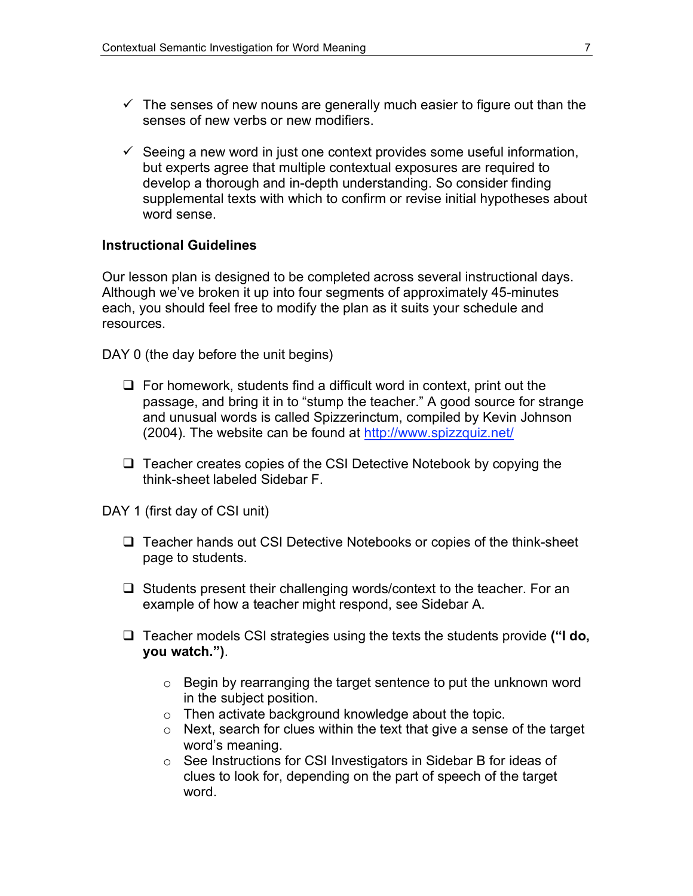- $\checkmark$  The senses of new nouns are generally much easier to figure out than the senses of new verbs or new modifiers.
- $\checkmark$  Seeing a new word in just one context provides some useful information, but experts agree that multiple contextual exposures are required to develop a thorough and in-depth understanding. So consider finding supplemental texts with which to confirm or revise initial hypotheses about word sense.

### **Instructional Guidelines**

Our lesson plan is designed to be completed across several instructional days. Although we've broken it up into four segments of approximately 45-minutes each, you should feel free to modify the plan as it suits your schedule and resources.

DAY 0 (the day before the unit begins)

- $\Box$  For homework, students find a difficult word in context, print out the passage, and bring it in to "stump the teacher." A good source for strange and unusual words is called Spizzerinctum, compiled by Kevin Johnson (2004). The website can be found at http://www.spizzquiz.net/
- $\Box$  Teacher creates copies of the CSI Detective Notebook by copying the think-sheet labeled Sidebar F.

DAY 1 (first day of CSI unit)

- $\Box$  Teacher hands out CSI Detective Notebooks or copies of the think-sheet page to students.
- $\Box$  Students present their challenging words/context to the teacher. For an example of how a teacher might respond, see Sidebar A.
- Teacher models CSI strategies using the texts the students provide **("I do, you watch.")**.
	- o Begin by rearranging the target sentence to put the unknown word in the subject position.
	- o Then activate background knowledge about the topic.
	- o Next, search for clues within the text that give a sense of the target word's meaning.
	- o See Instructions for CSI Investigators in Sidebar B for ideas of clues to look for, depending on the part of speech of the target word.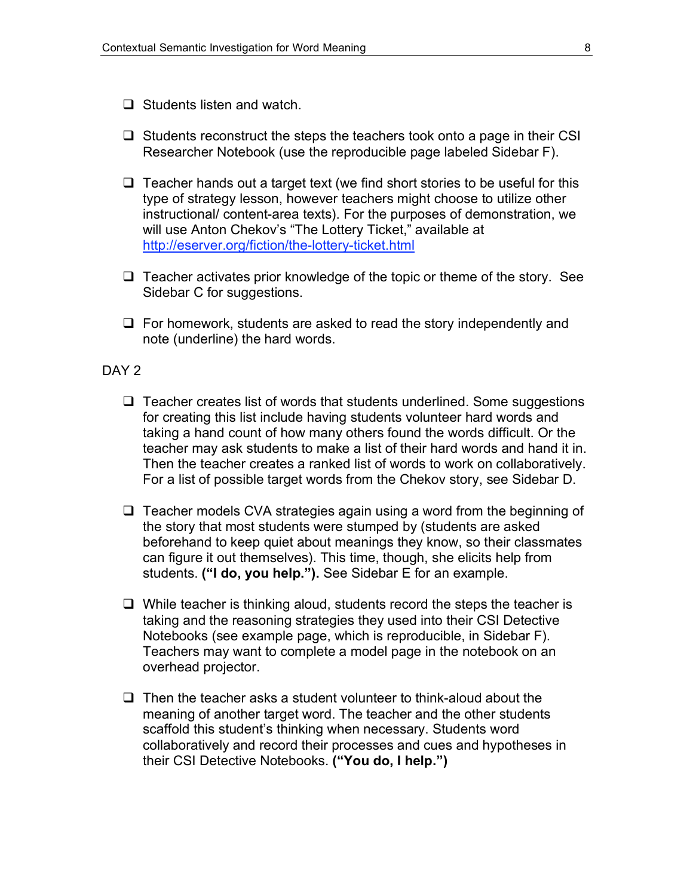- $\Box$  Students listen and watch.
- $\Box$  Students reconstruct the steps the teachers took onto a page in their CSI Researcher Notebook (use the reproducible page labeled Sidebar F).
- $\Box$  Teacher hands out a target text (we find short stories to be useful for this type of strategy lesson, however teachers might choose to utilize other instructional/ content-area texts). For the purposes of demonstration, we will use Anton Chekov's "The Lottery Ticket," available at http://eserver.org/fiction/the-lottery-ticket.html
- $\Box$  Teacher activates prior knowledge of the topic or theme of the story. See Sidebar C for suggestions.
- $\Box$  For homework, students are asked to read the story independently and note (underline) the hard words.

### DAY<sub>2</sub>

- $\Box$  Teacher creates list of words that students underlined. Some suggestions for creating this list include having students volunteer hard words and taking a hand count of how many others found the words difficult. Or the teacher may ask students to make a list of their hard words and hand it in. Then the teacher creates a ranked list of words to work on collaboratively. For a list of possible target words from the Chekov story, see Sidebar D.
- $\Box$  Teacher models CVA strategies again using a word from the beginning of the story that most students were stumped by (students are asked beforehand to keep quiet about meanings they know, so their classmates can figure it out themselves). This time, though, she elicits help from students. **("I do, you help.").** See Sidebar E for an example.
- $\Box$  While teacher is thinking aloud, students record the steps the teacher is taking and the reasoning strategies they used into their CSI Detective Notebooks (see example page, which is reproducible, in Sidebar F). Teachers may want to complete a model page in the notebook on an overhead projector.
- $\Box$  Then the teacher asks a student volunteer to think-aloud about the meaning of another target word. The teacher and the other students scaffold this student's thinking when necessary. Students word collaboratively and record their processes and cues and hypotheses in their CSI Detective Notebooks. **("You do, I help.")**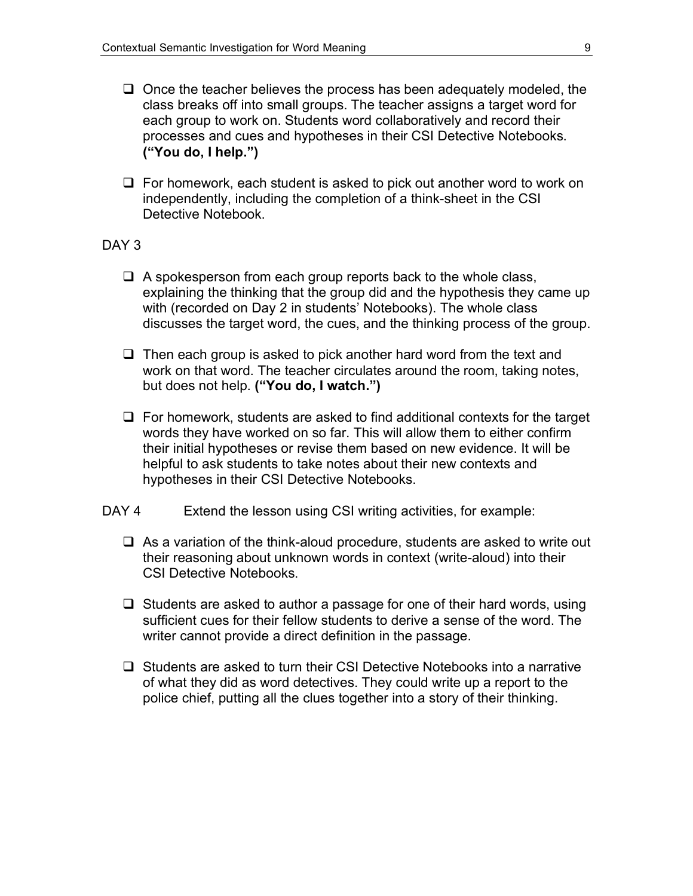- $\Box$  Once the teacher believes the process has been adequately modeled, the class breaks off into small groups. The teacher assigns a target word for each group to work on. Students word collaboratively and record their processes and cues and hypotheses in their CSI Detective Notebooks. **("You do, I help.")**
- $\Box$  For homework, each student is asked to pick out another word to work on independently, including the completion of a think-sheet in the CSI Detective Notebook.

### DAY<sub>3</sub>

- $\Box$  A spokesperson from each group reports back to the whole class, explaining the thinking that the group did and the hypothesis they came up with (recorded on Day 2 in students' Notebooks). The whole class discusses the target word, the cues, and the thinking process of the group.
- $\Box$  Then each group is asked to pick another hard word from the text and work on that word. The teacher circulates around the room, taking notes, but does not help. **("You do, I watch.")**
- $\Box$  For homework, students are asked to find additional contexts for the target words they have worked on so far. This will allow them to either confirm their initial hypotheses or revise them based on new evidence. It will be helpful to ask students to take notes about their new contexts and hypotheses in their CSI Detective Notebooks.
- DAY 4 Extend the lesson using CSI writing activities, for example:
	- $\Box$  As a variation of the think-aloud procedure, students are asked to write out their reasoning about unknown words in context (write-aloud) into their CSI Detective Notebooks.
	- $\Box$  Students are asked to author a passage for one of their hard words, using sufficient cues for their fellow students to derive a sense of the word. The writer cannot provide a direct definition in the passage.
	- $\Box$  Students are asked to turn their CSI Detective Notebooks into a narrative of what they did as word detectives. They could write up a report to the police chief, putting all the clues together into a story of their thinking.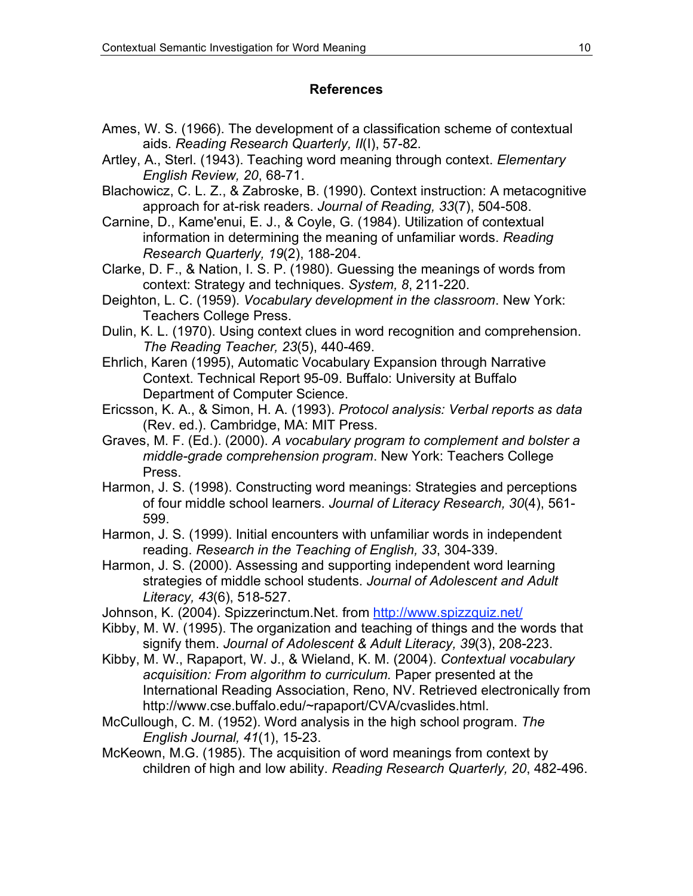## **References**

- Ames, W. S. (1966). The development of a classification scheme of contextual aids. *Reading Research Quarterly, II*(I), 57-82.
- Artley, A., Sterl. (1943). Teaching word meaning through context. *Elementary English Review, 20*, 68-71.
- Blachowicz, C. L. Z., & Zabroske, B. (1990). Context instruction: A metacognitive approach for at-risk readers. *Journal of Reading, 33*(7), 504-508.
- Carnine, D., Kame'enui, E. J., & Coyle, G. (1984). Utilization of contextual information in determining the meaning of unfamiliar words. *Reading Research Quarterly, 19*(2), 188-204.
- Clarke, D. F., & Nation, I. S. P. (1980). Guessing the meanings of words from context: Strategy and techniques. *System, 8*, 211-220.
- Deighton, L. C. (1959). *Vocabulary development in the classroom*. New York: Teachers College Press.
- Dulin, K. L. (1970). Using context clues in word recognition and comprehension. *The Reading Teacher, 23*(5), 440-469.
- Ehrlich, Karen (1995), Automatic Vocabulary Expansion through Narrative Context. Technical Report 95-09. Buffalo: University at Buffalo Department of Computer Science.
- Ericsson, K. A., & Simon, H. A. (1993). *Protocol analysis: Verbal reports as data* (Rev. ed.). Cambridge, MA: MIT Press.
- Graves, M. F. (Ed.). (2000). *A vocabulary program to complement and bolster a middle-grade comprehension program*. New York: Teachers College Press.
- Harmon, J. S. (1998). Constructing word meanings: Strategies and perceptions of four middle school learners. *Journal of Literacy Research, 30*(4), 561- 599.
- Harmon, J. S. (1999). Initial encounters with unfamiliar words in independent reading. *Research in the Teaching of English, 33*, 304-339.
- Harmon, J. S. (2000). Assessing and supporting independent word learning strategies of middle school students. *Journal of Adolescent and Adult Literacy, 43*(6), 518-527.
- Johnson, K. (2004). Spizzerinctum.Net. from http://www.spizzquiz.net/
- Kibby, M. W. (1995). The organization and teaching of things and the words that signify them. *Journal of Adolescent & Adult Literacy, 39*(3), 208-223.
- Kibby, M. W., Rapaport, W. J., & Wieland, K. M. (2004). *Contextual vocabulary acquisition: From algorithm to curriculum.* Paper presented at the International Reading Association, Reno, NV. Retrieved electronically from http://www.cse.buffalo.edu/~rapaport/CVA/cvaslides.html.
- McCullough, C. M. (1952). Word analysis in the high school program. *The English Journal, 41*(1), 15-23.
- McKeown, M.G. (1985). The acquisition of word meanings from context by children of high and low ability. *Reading Research Quarterly, 20*, 482-496.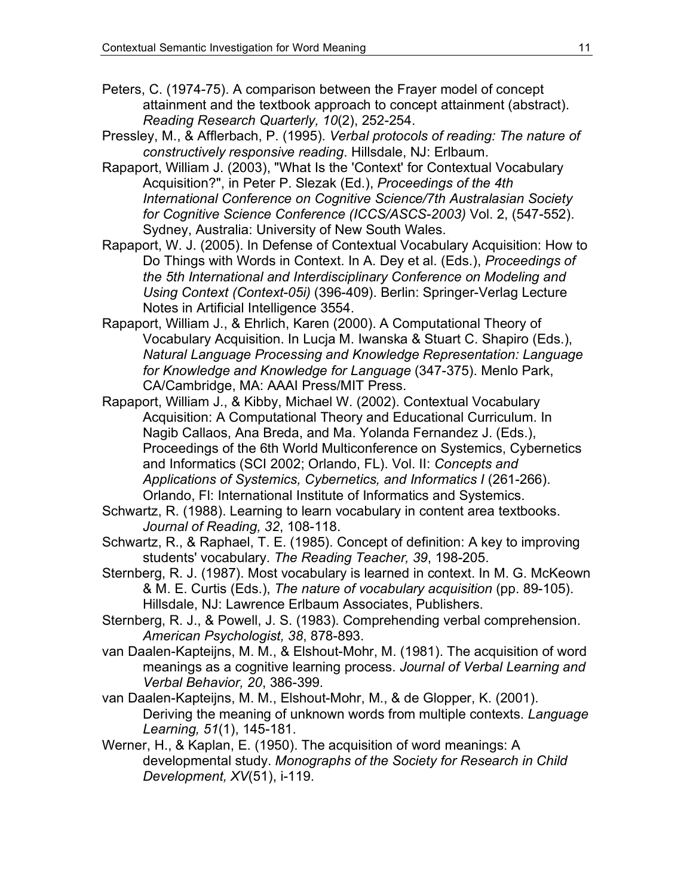- Peters, C. (1974-75). A comparison between the Frayer model of concept attainment and the textbook approach to concept attainment (abstract). *Reading Research Quarterly, 10*(2), 252-254.
- Pressley, M., & Afflerbach, P. (1995). *Verbal protocols of reading: The nature of constructively responsive reading*. Hillsdale, NJ: Erlbaum.
- Rapaport, William J. (2003), "What Is the 'Context' for Contextual Vocabulary Acquisition?", in Peter P. Slezak (Ed.), *Proceedings of the 4th International Conference on Cognitive Science/7th Australasian Society for Cognitive Science Conference (ICCS/ASCS-2003)* Vol. 2, (547-552). Sydney, Australia: University of New South Wales.
- Rapaport, W. J. (2005). In Defense of Contextual Vocabulary Acquisition: How to Do Things with Words in Context. In A. Dey et al. (Eds.), *Proceedings of the 5th International and Interdisciplinary Conference on Modeling and Using Context (Context-05i)* (396-409). Berlin: Springer-Verlag Lecture Notes in Artificial Intelligence 3554.
- Rapaport, William J., & Ehrlich, Karen (2000). A Computational Theory of Vocabulary Acquisition. In Lucja M. Iwanska & Stuart C. Shapiro (Eds.), *Natural Language Processing and Knowledge Representation: Language for Knowledge and Knowledge for Language* (347-375). Menlo Park, CA/Cambridge, MA: AAAI Press/MIT Press.
- Rapaport, William J., & Kibby, Michael W. (2002). Contextual Vocabulary Acquisition: A Computational Theory and Educational Curriculum. In Nagib Callaos, Ana Breda, and Ma. Yolanda Fernandez J. (Eds.), Proceedings of the 6th World Multiconference on Systemics, Cybernetics and Informatics (SCI 2002; Orlando, FL). Vol. II: *Concepts and Applications of Systemics, Cybernetics, and Informatics I* (261-266). Orlando, Fl: International Institute of Informatics and Systemics.
- Schwartz, R. (1988). Learning to learn vocabulary in content area textbooks. *Journal of Reading, 32*, 108-118.
- Schwartz, R., & Raphael, T. E. (1985). Concept of definition: A key to improving students' vocabulary. *The Reading Teacher, 39*, 198-205.
- Sternberg, R. J. (1987). Most vocabulary is learned in context. In M. G. McKeown & M. E. Curtis (Eds.), *The nature of vocabulary acquisition* (pp. 89-105). Hillsdale, NJ: Lawrence Erlbaum Associates, Publishers.
- Sternberg, R. J., & Powell, J. S. (1983). Comprehending verbal comprehension. *American Psychologist, 38*, 878-893.
- van Daalen-Kapteijns, M. M., & Elshout-Mohr, M. (1981). The acquisition of word meanings as a cognitive learning process. *Journal of Verbal Learning and Verbal Behavior, 20*, 386-399.
- van Daalen-Kapteijns, M. M., Elshout-Mohr, M., & de Glopper, K. (2001). Deriving the meaning of unknown words from multiple contexts. *Language Learning, 51*(1), 145-181.
- Werner, H., & Kaplan, E. (1950). The acquisition of word meanings: A developmental study. *Monographs of the Society for Research in Child Development, XV*(51), i-119.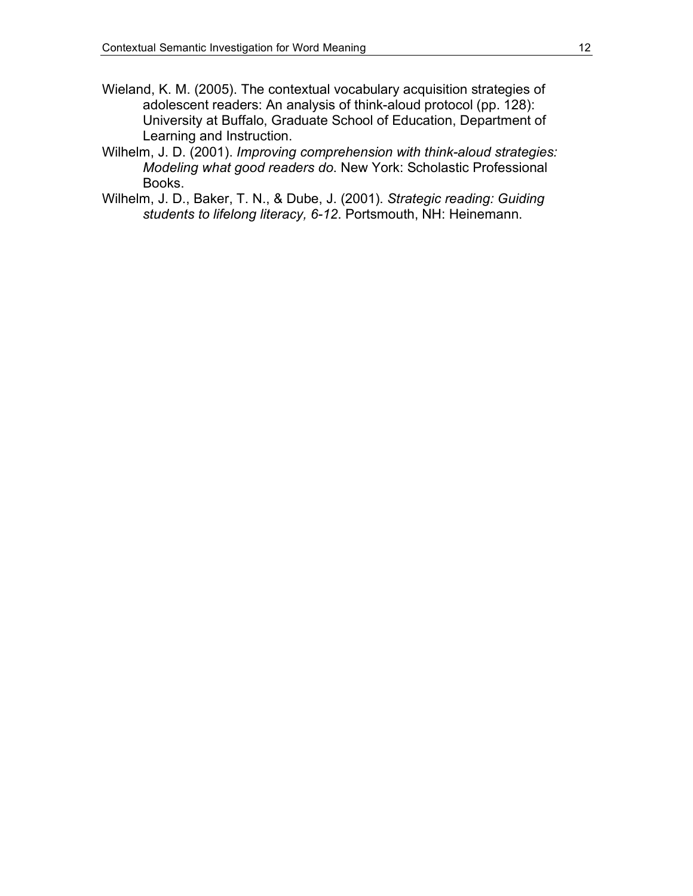- Wieland, K. M. (2005). The contextual vocabulary acquisition strategies of adolescent readers: An analysis of think-aloud protocol (pp. 128): University at Buffalo, Graduate School of Education, Department of Learning and Instruction.
- Wilhelm, J. D. (2001). *Improving comprehension with think-aloud strategies: Modeling what good readers do*. New York: Scholastic Professional Books.
- Wilhelm, J. D., Baker, T. N., & Dube, J. (2001). *Strategic reading: Guiding students to lifelong literacy, 6-12*. Portsmouth, NH: Heinemann.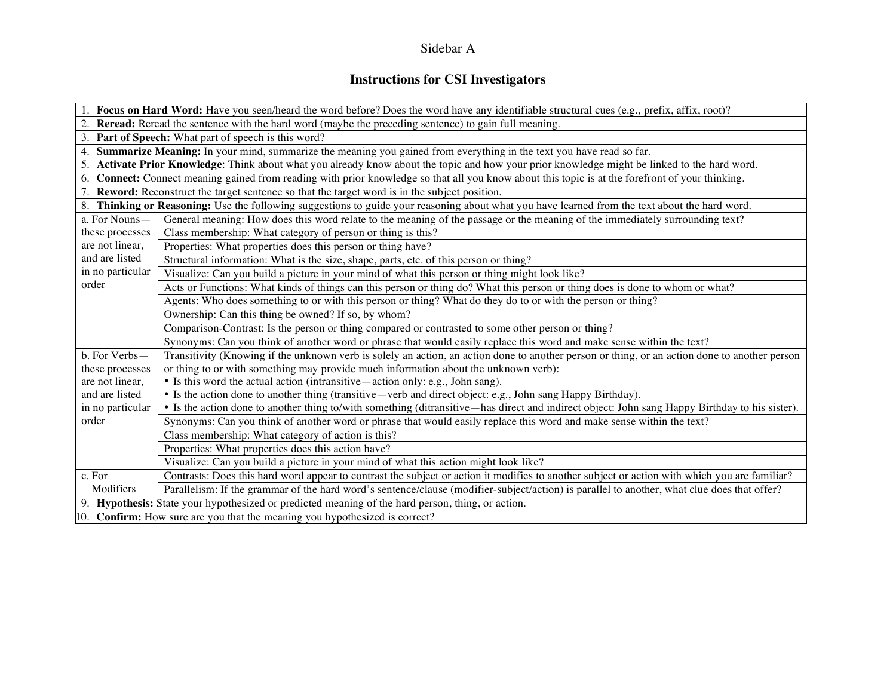# Sidebar A

# **Instructions for CSI Investigators**

| 1. Focus on Hard Word: Have you seen/heard the word before? Does the word have any identifiable structural cues (e.g., prefix, affix, root)?                       |  |  |  |  |  |
|--------------------------------------------------------------------------------------------------------------------------------------------------------------------|--|--|--|--|--|
| 2. Reread: Reread the sentence with the hard word (maybe the preceding sentence) to gain full meaning.                                                             |  |  |  |  |  |
| 3. Part of Speech: What part of speech is this word?                                                                                                               |  |  |  |  |  |
| 4. Summarize Meaning: In your mind, summarize the meaning you gained from everything in the text you have read so far.                                             |  |  |  |  |  |
| 5. Activate Prior Knowledge: Think about what you already know about the topic and how your prior knowledge might be linked to the hard word.                      |  |  |  |  |  |
| 6. Connect: Connect meaning gained from reading with prior knowledge so that all you know about this topic is at the forefront of your thinking.                   |  |  |  |  |  |
| 7. Reword: Reconstruct the target sentence so that the target word is in the subject position.                                                                     |  |  |  |  |  |
| 8. Thinking or Reasoning: Use the following suggestions to guide your reasoning about what you have learned from the text about the hard word.                     |  |  |  |  |  |
| General meaning: How does this word relate to the meaning of the passage or the meaning of the immediately surrounding text?<br>a. For Nouns-                      |  |  |  |  |  |
| Class membership: What category of person or thing is this?<br>these processes                                                                                     |  |  |  |  |  |
| are not linear,<br>Properties: What properties does this person or thing have?                                                                                     |  |  |  |  |  |
| and are listed<br>Structural information: What is the size, shape, parts, etc. of this person or thing?<br>in no particular                                        |  |  |  |  |  |
| Visualize: Can you build a picture in your mind of what this person or thing might look like?                                                                      |  |  |  |  |  |
| Acts or Functions: What kinds of things can this person or thing do? What this person or thing does is done to whom or what?                                       |  |  |  |  |  |
| Agents: Who does something to or with this person or thing? What do they do to or with the person or thing?                                                        |  |  |  |  |  |
| Ownership: Can this thing be owned? If so, by whom?                                                                                                                |  |  |  |  |  |
| Comparison-Contrast: Is the person or thing compared or contrasted to some other person or thing?                                                                  |  |  |  |  |  |
| Synonyms: Can you think of another word or phrase that would easily replace this word and make sense within the text?                                              |  |  |  |  |  |
| b. For Verbs-<br>Transitivity (Knowing if the unknown verb is solely an action, an action done to another person or thing, or an action done to another person     |  |  |  |  |  |
| or thing to or with something may provide much information about the unknown verb):<br>these processes                                                             |  |  |  |  |  |
| • Is this word the actual action (intransitive — action only: e.g., John sang).<br>are not linear,                                                                 |  |  |  |  |  |
| • Is the action done to another thing (transitive—verb and direct object: e.g., John sang Happy Birthday).<br>and are listed                                       |  |  |  |  |  |
| • Is the action done to another thing to/with something (ditransitive—has direct and indirect object: John sang Happy Birthday to his sister).<br>in no particular |  |  |  |  |  |
| order<br>Synonyms: Can you think of another word or phrase that would easily replace this word and make sense within the text?                                     |  |  |  |  |  |
| Class membership: What category of action is this?                                                                                                                 |  |  |  |  |  |
| Properties: What properties does this action have?                                                                                                                 |  |  |  |  |  |
| Visualize: Can you build a picture in your mind of what this action might look like?                                                                               |  |  |  |  |  |
| c. For<br>Contrasts: Does this hard word appear to contrast the subject or action it modifies to another subject or action with which you are familiar?            |  |  |  |  |  |
| Modifiers<br>Parallelism: If the grammar of the hard word's sentence/clause (modifier-subject/action) is parallel to another, what clue does that offer?           |  |  |  |  |  |
| 9. Hypothesis: State your hypothesized or predicted meaning of the hard person, thing, or action.                                                                  |  |  |  |  |  |
| $\ $ 10. <b>Confirm:</b> How sure are you that the meaning you hypothesized is correct?                                                                            |  |  |  |  |  |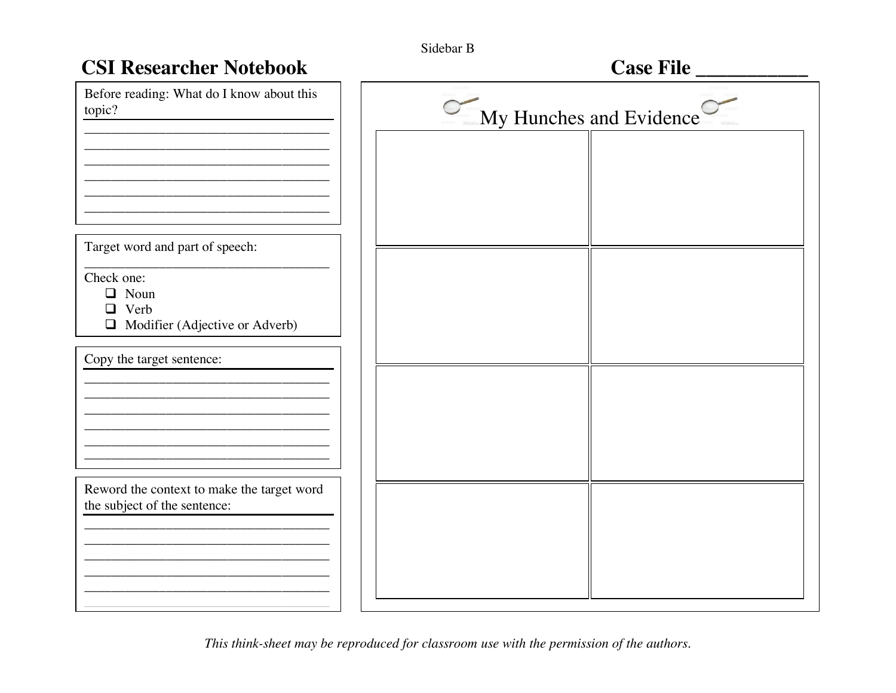| Sidebar B |  |
|-----------|--|
|-----------|--|

| <b>CSI Researcher Notebook</b>                                             |                         | Case File |  |
|----------------------------------------------------------------------------|-------------------------|-----------|--|
| Before reading: What do I know about this<br>topic?                        | My Hunches and Evidence |           |  |
|                                                                            |                         |           |  |
|                                                                            |                         |           |  |
| Target word and part of speech:                                            |                         |           |  |
| Check one:<br>$\Box$ Noun<br>$\Box$ Verb                                   |                         |           |  |
| $\Box$ Modifier (Adjective or Adverb)                                      |                         |           |  |
| Copy the target sentence:                                                  |                         |           |  |
|                                                                            |                         |           |  |
|                                                                            |                         |           |  |
| Reword the context to make the target word<br>the subject of the sentence: |                         |           |  |
|                                                                            |                         |           |  |
|                                                                            |                         |           |  |
|                                                                            |                         |           |  |

This think-sheet may be reproduced for classroom use with the permission of the authors.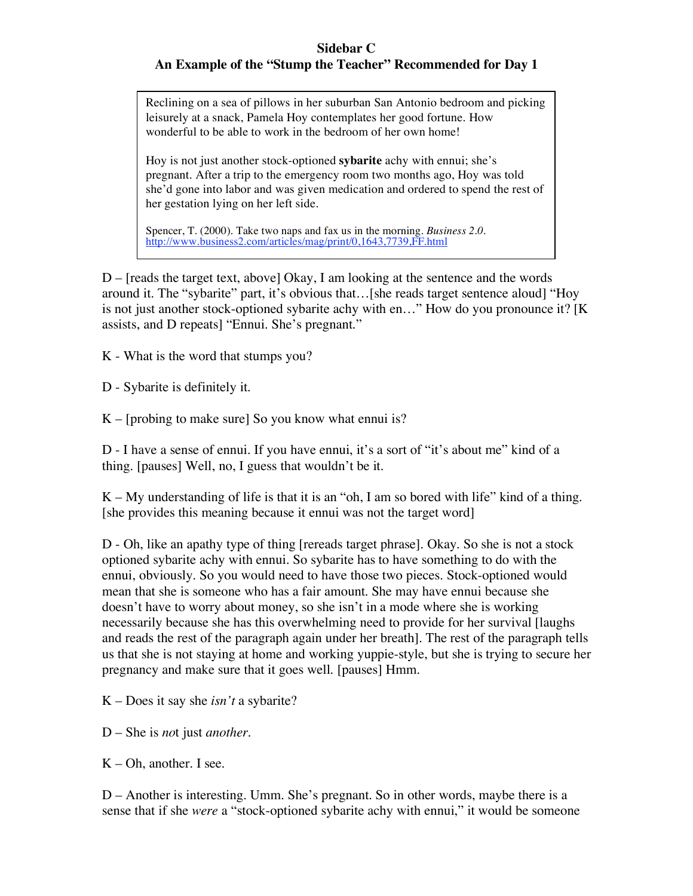### **Sidebar C An Example of the "Stump the Teacher" Recommended for Day 1**

Reclining on a sea of pillows in her suburban San Antonio bedroom and picking leisurely at a snack, Pamela Hoy contemplates her good fortune. How wonderful to be able to work in the bedroom of her own home!

Hoy is not just another stock-optioned **sybarite** achy with ennui; she's pregnant. After a trip to the emergency room two months ago, Hoy was told she'd gone into labor and was given medication and ordered to spend the rest of her gestation lying on her left side.

Spencer, T. (2000). Take two naps and fax us in the morning. *Business 2.0.* http://www.business2.com/articles/mag/print/0,1643,7739,FF.html

D – [reads the target text, above] Okay, I am looking at the sentence and the words around it. The "sybarite" part, it's obvious that…[she reads target sentence aloud] "Hoy is not just another stock-optioned sybarite achy with en…" How do you pronounce it? [K assists, and D repeats] "Ennui. She's pregnant."

K - What is the word that stumps you?

D - Sybarite is definitely it.

 $K$  – [probing to make sure] So you know what ennui is?

D - I have a sense of ennui. If you have ennui, it's a sort of "it's about me" kind of a thing. [pauses] Well, no, I guess that wouldn't be it.

K – My understanding of life is that it is an "oh, I am so bored with life" kind of a thing. [she provides this meaning because it ennui was not the target word]

D - Oh, like an apathy type of thing [rereads target phrase]. Okay. So she is not a stock optioned sybarite achy with ennui. So sybarite has to have something to do with the ennui, obviously. So you would need to have those two pieces. Stock-optioned would mean that she is someone who has a fair amount. She may have ennui because she doesn't have to worry about money, so she isn't in a mode where she is working necessarily because she has this overwhelming need to provide for her survival [laughs and reads the rest of the paragraph again under her breath]. The rest of the paragraph tells us that she is not staying at home and working yuppie-style, but she is trying to secure her pregnancy and make sure that it goes well. [pauses] Hmm.

K – Does it say she *isn't* a sybarite?

D – She is *no*t just *another.*

 $K$  – Oh, another. I see.

D – Another is interesting. Umm. She's pregnant. So in other words, maybe there is a sense that if she *were* a "stock-optioned sybarite achy with ennui," it would be someone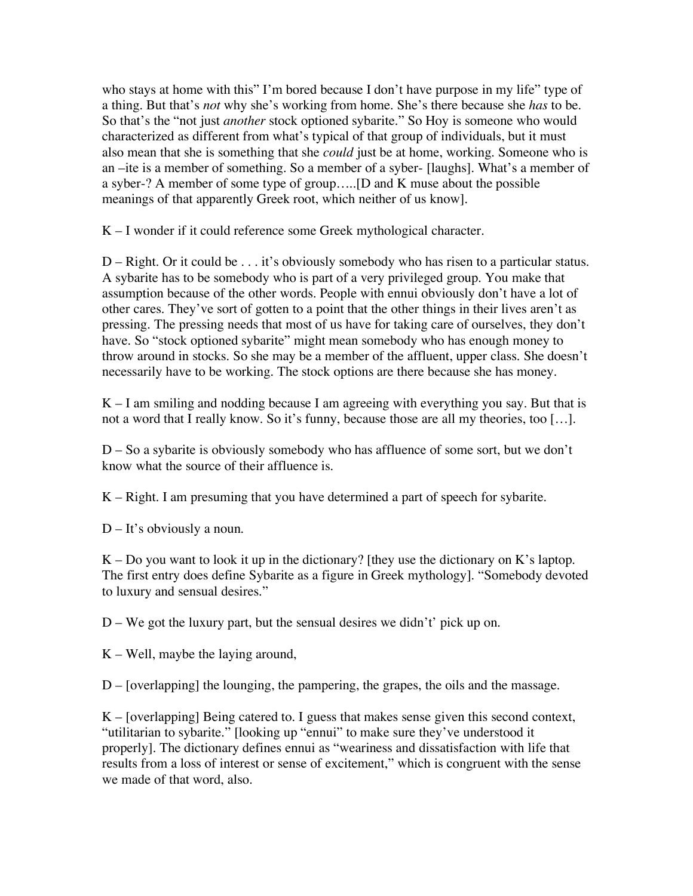who stays at home with this" I'm bored because I don't have purpose in my life" type of a thing. But that's *not* why she's working from home. She's there because she *has* to be. So that's the "not just *another* stock optioned sybarite." So Hoy is someone who would characterized as different from what's typical of that group of individuals, but it must also mean that she is something that she *could* just be at home, working. Someone who is an –ite is a member of something. So a member of a syber- [laughs]. What's a member of a syber-? A member of some type of group…..[D and K muse about the possible meanings of that apparently Greek root, which neither of us know].

K – I wonder if it could reference some Greek mythological character.

 $D - Right$ . Or it could be  $\ldots$  it's obviously somebody who has risen to a particular status. A sybarite has to be somebody who is part of a very privileged group. You make that assumption because of the other words. People with ennui obviously don't have a lot of other cares. They've sort of gotten to a point that the other things in their lives aren't as pressing. The pressing needs that most of us have for taking care of ourselves, they don't have. So "stock optioned sybarite" might mean somebody who has enough money to throw around in stocks. So she may be a member of the affluent, upper class. She doesn't necessarily have to be working. The stock options are there because she has money.

 $K - I$  am smiling and nodding because I am agreeing with everything you say. But that is not a word that I really know. So it's funny, because those are all my theories, too […].

D – So a sybarite is obviously somebody who has affluence of some sort, but we don't know what the source of their affluence is.

K – Right. I am presuming that you have determined a part of speech for sybarite.

D – It's obviously a noun.

 $K - Do$  you want to look it up in the dictionary? [they use the dictionary on K's laptop. The first entry does define Sybarite as a figure in Greek mythology]. "Somebody devoted to luxury and sensual desires."

 $D - We$  got the luxury part, but the sensual desires we didn't' pick up on.

 $K - Well$ , maybe the laying around,

D – [overlapping] the lounging, the pampering, the grapes, the oils and the massage.

 $K$  – [overlapping] Being catered to. I guess that makes sense given this second context, "utilitarian to sybarite." [looking up "ennui" to make sure they've understood it properly]. The dictionary defines ennui as "weariness and dissatisfaction with life that results from a loss of interest or sense of excitement," which is congruent with the sense we made of that word, also.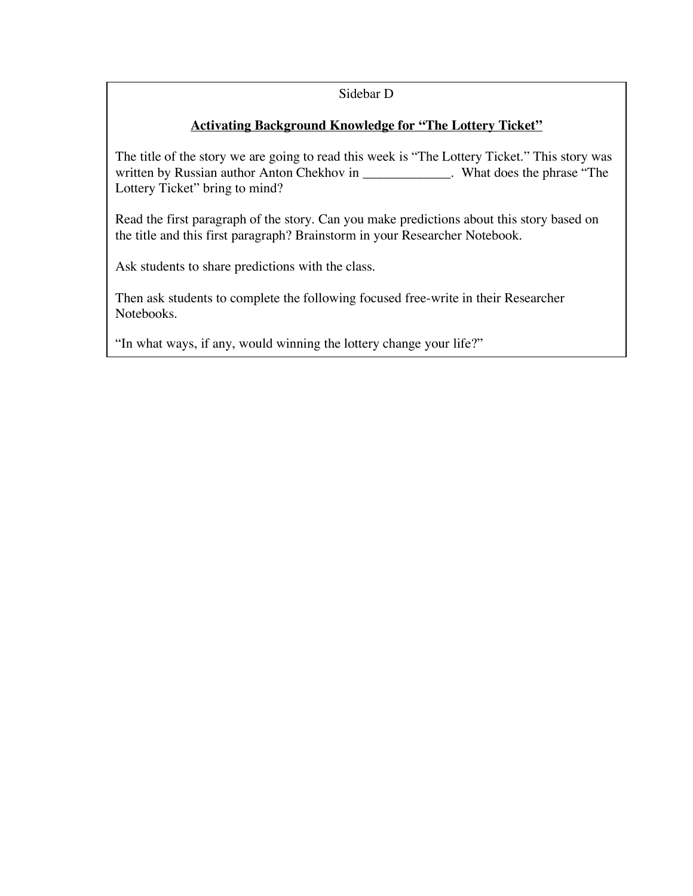### Sidebar D

## **Activating Background Knowledge for "The Lottery Ticket"**

The title of the story we are going to read this week is "The Lottery Ticket." This story was written by Russian author Anton Chekhov in \_\_\_\_\_\_\_\_\_\_\_\_\_. What does the phrase "The Lottery Ticket" bring to mind?

Read the first paragraph of the story. Can you make predictions about this story based on the title and this first paragraph? Brainstorm in your Researcher Notebook.

Ask students to share predictions with the class.

Then ask students to complete the following focused free-write in their Researcher Notebooks.

"In what ways, if any, would winning the lottery change your life?"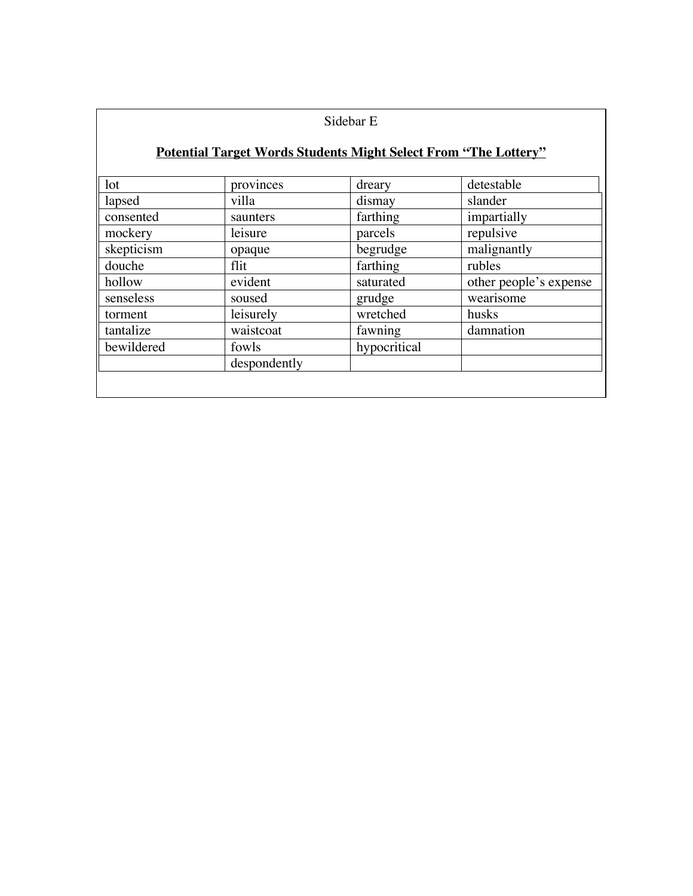| Sidebar E |  |
|-----------|--|
|-----------|--|

# **Potential Target Words Students Might Select From "The Lottery"**

| 1 <sub>ot</sub> | provinces    | dreary       | detestable             |
|-----------------|--------------|--------------|------------------------|
| lapsed          | villa        | dismay       | slander                |
| consented       | saunters     | farthing     | impartially            |
| mockery         | leisure      | parcels      | repulsive              |
| skepticism      | opaque       | begrudge     | malignantly            |
| douche          | flit         | farthing     | rubles                 |
| hollow          | evident      | saturated    | other people's expense |
| senseless       | soused       | grudge       | wearisome              |
| torment         | leisurely    | wretched     | husks                  |
| tantalize       | waistcoat    | fawning      | damnation              |
| bewildered      | fowls        | hypocritical |                        |
|                 | despondently |              |                        |
|                 |              |              |                        |